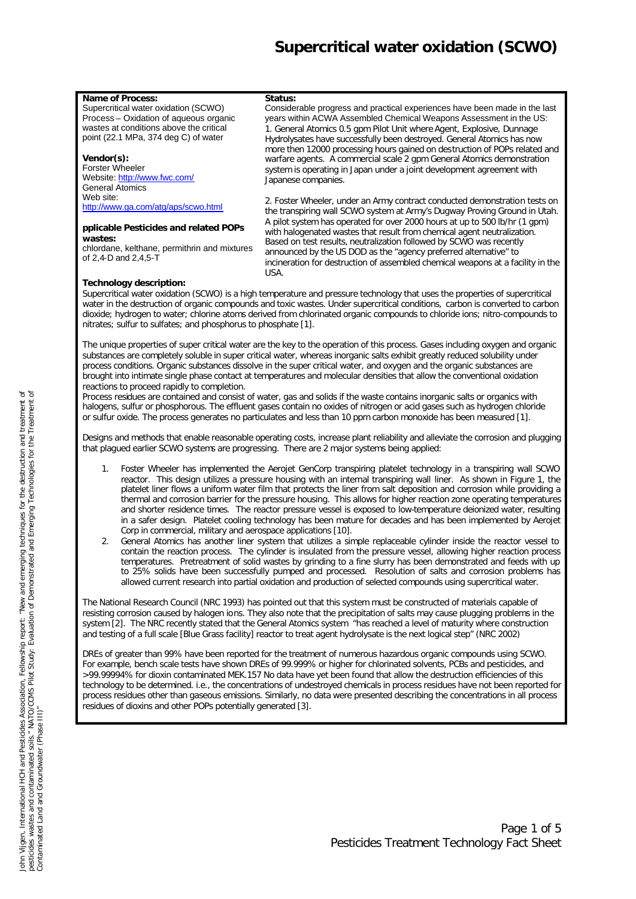#### **Name of Process:**

Supercritical water oxidation (SCWO) Process – Oxidation of aqueous organic wastes at conditions above the critical point (22.1 MPa, 374 deg C) of water

### **Vendor(s):**

Forster Wheeler Website: http://www.fwc.com/ General Atomics Web site: http://www.ga.com/atg/aps/scwo.html

#### **pplicable Pesticides and related POPs wastes:**

chlordane, kelthane, permithrin and mixtures of 2,4-D and 2,4,5-T

### 1. General Atomics 0.5 gpm Pilot Unit where Agent, Explosive, Dunnage Hydrolysates have successfully been destroyed. General Atomics has now more then 12000 processing hours gained on destruction of POPs related and warfare agents. A commercial scale 2 gpm General Atomics demonstration system is operating in Japan under a joint development agreement with Japanese companies. 2. Foster Wheeler, under an Army contract conducted demonstration tests on

Considerable progress and practical experiences have been made in the last years within ACWA Assembled Chemical Weapons Assessment in the US:

the transpiring wall SCWO system at Army's Dugway Proving Ground in Utah. A pilot system has operated for over 2000 hours at up to 500 lb/hr (1 gpm) with halogenated wastes that result from chemical agent neutralization. Based on test results, neutralization followed by SCWO was recently announced by the US DOD as the "agency preferred alternative" to incineration for destruction of assembled chemical weapons at a facility in the **USA** 

### **Technology description:**

Supercritical water oxidation (SCWO) is a high temperature and pressure technology that uses the properties of supercritical water in the destruction of organic compounds and toxic wastes. Under supercritical conditions, carbon is converted to carbon dioxide; hydrogen to water; chlorine atoms derived from chlorinated organic compounds to chloride ions; nitro-compounds to nitrates; sulfur to sulfates; and phosphorus to phosphate [1].

**Status:**

The unique properties of super critical water are the key to the operation of this process. Gases including oxygen and organic substances are completely soluble in super critical water, whereas inorganic salts exhibit greatly reduced solubility under process conditions. Organic substances dissolve in the super critical water, and oxygen and the organic substances are brought into intimate single phase contact at temperatures and molecular densities that allow the conventional oxidation reactions to proceed rapidly to completion.

Process residues are contained and consist of water, gas and solids if the waste contains inorganic salts or organics with halogens, sulfur or phosphorous. The effluent gases contain no oxides of nitrogen or acid gases such as hydrogen chloride or sulfur oxide. The process generates no particulates and less than 10 ppm carbon monoxide has been measured [1].

Designs and methods that enable reasonable operating costs, increase plant reliability and alleviate the corrosion and plugging that plagued earlier SCWO systems are progressing. There are 2 major systems being applied:

- 1. Foster Wheeler has implemented the Aerojet GenCorp transpiring platelet technology in a transpiring wall SCWO reactor. This design utilizes a pressure housing with an internal transpiring wall liner. As shown in Figure 1, the platelet liner flows a uniform water film that protects the liner from salt deposition and corrosion while providing a thermal and corrosion barrier for the pressure housing. This allows for higher reaction zone operating temperatures and shorter residence times. The reactor pressure vessel is exposed to low-temperature deionized water, resulting in a safer design. Platelet cooling technology has been mature for decades and has been implemented by Aerojet Corp in commercial, military and aerospace applications [10].
- 2. General Atomics has another liner system that utilizes a simple replaceable cylinder inside the reactor vessel to contain the reaction process. The cylinder is insulated from the pressure vessel, allowing higher reaction process temperatures. Pretreatment of solid wastes by grinding to a fine slurry has been demonstrated and feeds with up to 25% solids have been successfully pumped and processed. Resolution of salts and corrosion problems has allowed current research into partial oxidation and production of selected compounds using supercritical water.

The National Research Council (NRC 1993) has pointed out that this system must be constructed of materials capable of resisting corrosion caused by halogen ions. They also note that the precipitation of salts may cause plugging problems in the system [2]. The NRC recently stated that the General Atomics system "has reached a level of maturity where construction and testing of a full scale [Blue Grass facility] reactor to treat agent hydrolysate is the next logical step" (NRC 2002)

DREs of greater than 99% have been reported for the treatment of numerous hazardous organic compounds using SCWO. For example, bench scale tests have shown DREs of 99.999% or higher for chlorinated solvents, PCBs and pesticides, and >99.99994% for dioxin contaminated MEK.157 No data have yet been found that allow the destruction efficiencies of this technology to be determined. i.e., the concentrations of undestroyed chemicals in process residues have not been reported for process residues other than gaseous emissions. Similarly, no data were presented describing the concentrations in all process residues of dioxins and other POPs potentially generated [3].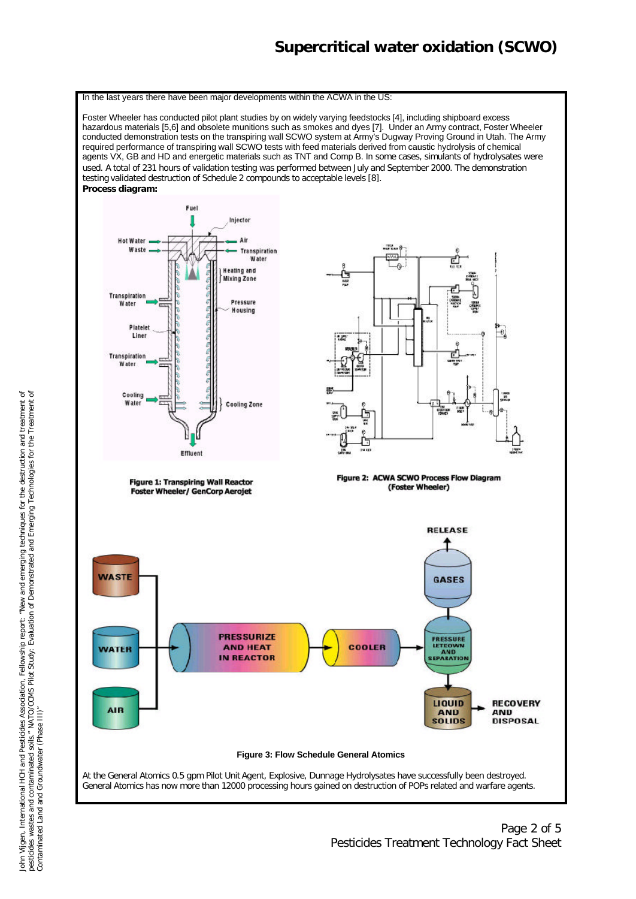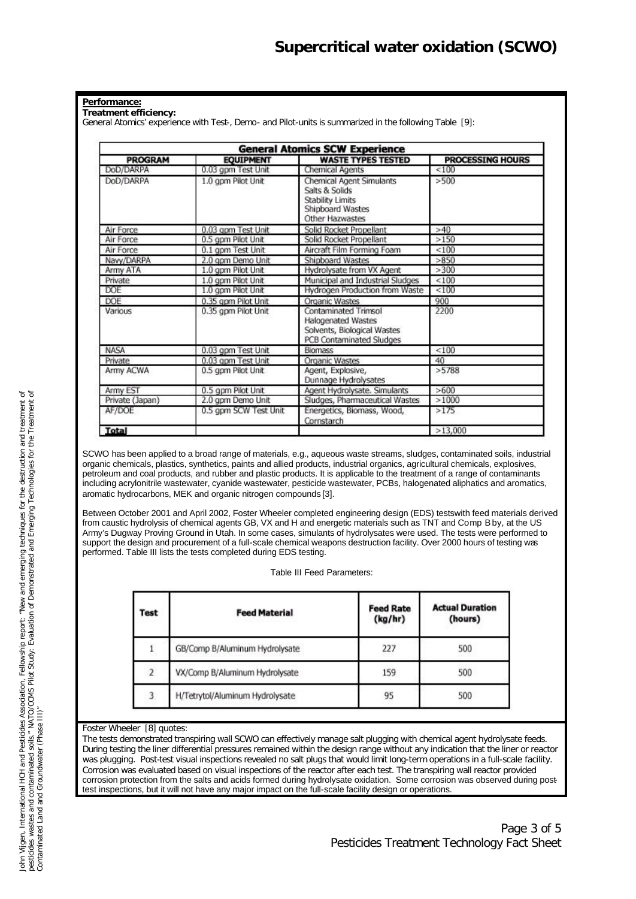#### **Performance:**

**Treatment efficiency:**

General Atomics' experience with Test-, Demo- and Pilot-units is summarized in the following Table [9]:

| <b>General Atomics SCW Experience</b> |                       |                                                                                                              |                         |  |
|---------------------------------------|-----------------------|--------------------------------------------------------------------------------------------------------------|-------------------------|--|
| <b>PROGRAM</b><br><b>EQUIPMENT</b>    |                       | <b>WASTE TYPES TESTED</b>                                                                                    | <b>PROCESSING HOURS</b> |  |
| DoD/DARPA                             | 0.03 gpm Test Unit    | Chemical Agents                                                                                              | ${}_{<100}$             |  |
| DoD/DARPA                             | 1.0 gpm Pilot Unit    | Chemical Agent Simulants<br>Salts & Solids<br>Stability Limits<br>Shipboard Wastes<br>Other Hazwastes        | >500                    |  |
| Air Force                             | 0.03 gpm Test Unit    | Solid Rocket Propellant                                                                                      | >40                     |  |
| Air Force                             | 0.5 gpm Pilot Unit    | Solid Rocket Propellant                                                                                      | >150                    |  |
| Air Force                             | 0.1 gpm Test Unit     | Aircraft Film Forming Foam                                                                                   | < 100                   |  |
| Navv/DARPA                            | 2.0 gpm Demo Unit     | Shipboard Wastes                                                                                             | >850                    |  |
| Army ATA                              | 1.0 gpm Pilot Unit    | Hydrolysate from VX Agent                                                                                    | >300                    |  |
| Private                               | 1.0 gpm Pilot Unit    | Municipal and Industrial Sludges                                                                             | < 100                   |  |
| DOE                                   | 1.0 gpm Pilot Unit    | Hydrogen Production from Waste                                                                               | < 100                   |  |
| DOE                                   | 0.35 gpm Pilot Unit   | Organic Wastes                                                                                               | 900                     |  |
| Various                               | 0.35 gpm Pilot Unit   | Contaminated Trimsol<br><b>Halogenated Wastes</b><br>Solvents, Biological Wastes<br>PCB Contaminated Sludges | 2200                    |  |
| <b>NASA</b>                           | 0.03 gpm Test Unit    | <b>Biomass</b>                                                                                               | < 100                   |  |
| Private                               | 0.03 gpm Test Unit    | <b>Organic Wastes</b><br>40                                                                                  |                         |  |
| Army ACWA                             | 0.5 gpm Pilot Unit    | Agent, Explosive,<br>Dunnage Hydrolysates                                                                    | >5788                   |  |
| Army EST                              | 0.5 gpm Pilot Unit    | >600<br>Agent Hydrolysate. Simulants                                                                         |                         |  |
| Private (Japan)                       | 2.0 gpm Demo Unit     | >1000<br>Sludges, Pharmaceutical Wastes                                                                      |                         |  |
| AF/DOE                                | 0.5 gpm SCW Test Unit | Energetics, Biomass, Wood,<br>>175<br>Cornstarch                                                             |                         |  |
| <b>Total</b>                          |                       |                                                                                                              | >13,000                 |  |

SCWO has been applied to a broad range of materials, e.g., aqueous waste streams, sludges, contaminated soils, industrial organic chemicals, plastics, synthetics, paints and allied products, industrial organics, agricultural chemicals, explosives, petroleum and coal products, and rubber and plastic products. It is applicable to the treatment of a range of contaminants including acrylonitrile wastewater, cyanide wastewater, pesticide wastewater, PCBs, halogenated aliphatics and aromatics, aromatic hydrocarbons, MEK and organic nitrogen compounds [3].

Between October 2001 and April 2002, Foster Wheeler completed engineering design (EDS) tests with feed materials derived from caustic hydrolysis of chemical agents GB, VX and H and energetic materials such as TNT and Comp B by, at the US Army's Dugway Proving Ground in Utah. In some cases, simulants of hydrolysates were used. The tests were performed to support the design and procurement of a full-scale chemical weapons destruction facility. Over 2000 hours of testing was performed. Table III lists the tests completed during EDS testing.

Table III Feed Parameters:

| Test           | <b>Feed Material</b>            | <b>Feed Rate</b><br>(kg/hr) | <b>Actual Duration</b><br>(hours) |
|----------------|---------------------------------|-----------------------------|-----------------------------------|
|                | GB/Comp B/Aluminum Hydrolysate  | 227                         | 500                               |
| $\overline{2}$ | VX/Comp B/Aluminum Hydrolysate  | 159                         | 500                               |
| 3              | H/Tetrytol/Aluminum Hydrolysate | 95                          | 500                               |

#### Foster Wheeler [8] quotes:

The tests demonstrated transpiring wall SCWO can effectively manage salt plugging with chemical agent hydrolysate feeds. During testing the liner differential pressures remained within the design range without any indication that the liner or reactor was plugging. Post-test visual inspections revealed no salt plugs that would limit long-term operations in a full-scale facility. Corrosion was evaluated based on visual inspections of the reactor after each test. The transpiring wall reactor provided corrosion protection from the salts and acids formed during hydrolysate oxidation. Some corrosion was observed during posttest inspections, but it will not have any major impact on the full-scale facility design or operations.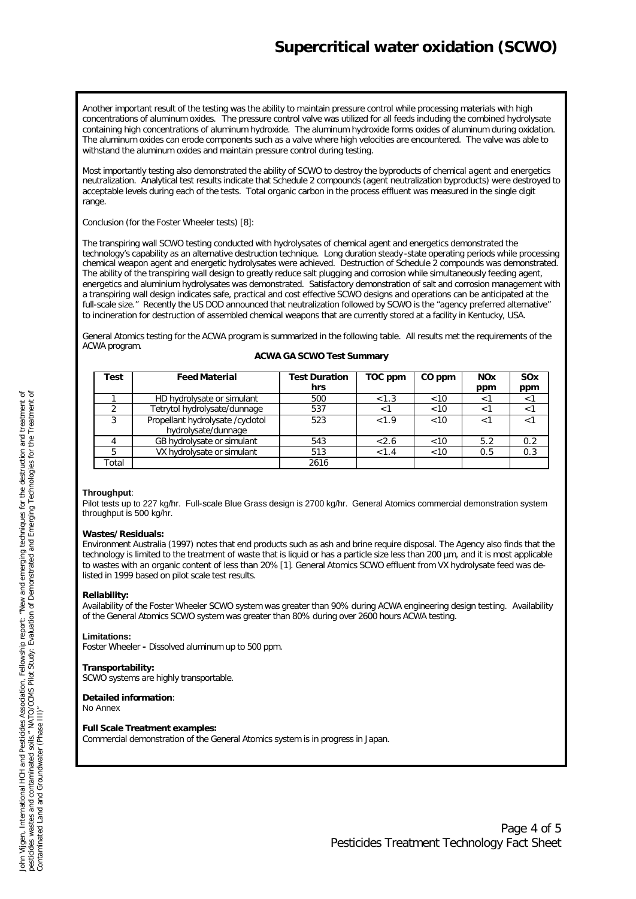Another important result of the testing was the ability to maintain pressure control while processing materials with high concentrations of aluminum oxides. The pressure control valve was utilized for all feeds including the combined hydrolysate containing high concentrations of aluminum hydroxide. The aluminum hydroxide forms oxides of aluminum during oxidation. The aluminum oxides can erode components such as a valve where high velocities are encountered. The valve was able to withstand the aluminum oxides and maintain pressure control during testing.

Most importantly testing also demonstrated the ability of SCWO to destroy the byproducts of chemical agent and energetics neutralization. Analytical test results indicate that Schedule 2 compounds (agent neutralization byproducts) were destroyed to acceptable levels during each of the tests. Total organic carbon in the process effluent was measured in the single digit range.

Conclusion (for the Foster Wheeler tests) [8]:

The transpiring wall SCWO testing conducted with hydrolysates of chemical agent and energetics demonstrated the technology's capability as an alternative destruction technique. Long duration steady -state operating periods while processing chemical weapon agent and energetic hydrolysates were achieved. Destruction of Schedule 2 compounds was demonstrated. The ability of the transpiring wall design to greatly reduce salt plugging and corrosion while simultaneously feeding agent, energetics and aluminium hydrolysates was demonstrated. Satisfactory demonstration of salt and corrosion management with a transpiring wall design indicates safe, practical and cost effective SCWO designs and operations can be anticipated at the full-scale size." Recently the US DOD announced that neutralization followed by SCWO is the "agency preferred alternative" to incineration for destruction of assembled chemical weapons that are currently stored at a facility in Kentucky, USA.

General Atomics testing for the ACWA program is summarized in the following table. All results met the requirements of the ACWA program.

| Test  | <b>Feed Material</b>             | <b>Test Duration</b> | TOC ppm | CO ppm | <b>NOx</b> | SOx |
|-------|----------------------------------|----------------------|---------|--------|------------|-----|
|       |                                  | hrs                  |         |        | ppm        | ppm |
|       | HD hydrolysate or simulant       | 500                  | < 1.3   | ~10    | < ⊺        |     |
|       | Tetrytol hydrolysate/dunnage     | 537                  | ا>      | < 10   | $<$ 1      |     |
| 3     | Propellant hydrolysate /cyclotol | 523                  | < 1.9   | < 10   | $\lt^{-1}$ |     |
|       | hydrolysate/dunnage              |                      |         |        |            |     |
|       | GB hydrolysate or simulant       | 543                  | < 2.6   | < 10   | 5.2        | 0.2 |
|       | VX hydrolysate or simulant       | 513                  | < 1.4   | < 10   | 0.5        | 0.3 |
| ⊺otal |                                  | 2616                 |         |        |            |     |

#### **ACWA GA SCWO Test Summary**

#### **Throughput**:

Pilot tests up to 227 kg/hr. Full-scale Blue Grass design is 2700 kg/hr. General Atomics commercial demonstration system throughput is 500 kg/hr.

#### **Wastes/Residuals:**

Environment Australia (1997) notes that end products such as ash and brine require disposal. The Agency also finds that the technology is limited to the treatment of waste that is liquid or has a particle size less than 200 µm, and it is most applicable to wastes with an organic content of less than 20% [1]. General Atomics SCWO effluent from VX hydrolysate feed was delisted in 1999 based on pilot scale test results.

### **Reliability:**

Availability of the Foster Wheeler SCWO system was greater than 90% during ACWA engineering design testing. Availability of the General Atomics SCWO system was greater than 80% during over 2600 hours ACWA testing.

### **Limitations:**

Foster Wheeler **-** Dissolved aluminum up to 500 ppm.

### **Transportability:**

SCWO systems are highly transportable.

**Detailed information**: No Annex

#### **Full Scale Treatment examples:**

Commercial demonstration of the General Atomics system is in progress in Japan.